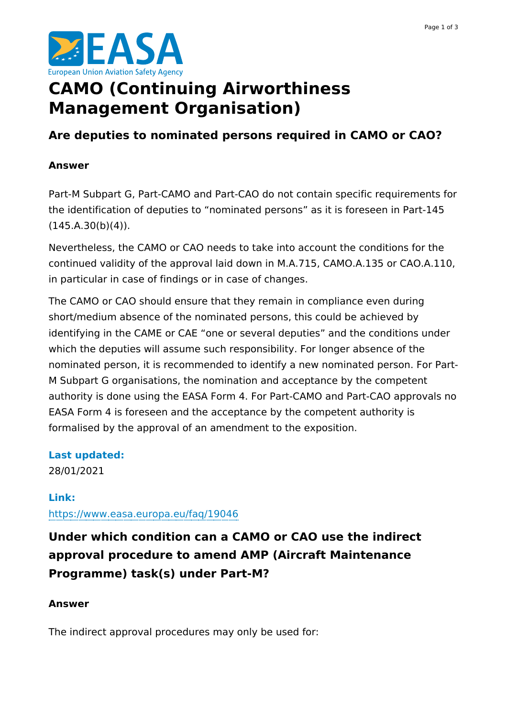

# **CAMO (Continuing Airworthiness Management Organisation)**

# **Are deputies to nominated persons required in CAMO or CAO?**

#### **Answer**

Part-M Subpart G, Part-CAMO and Part-CAO do not contain specific requirements for the identification of deputies to "nominated persons" as it is foreseen in Part-145  $(145.A.30(b)(4)).$ 

Nevertheless, the CAMO or CAO needs to take into account the conditions for the continued validity of the approval laid down in M.A.715, CAMO.A.135 or CAO.A.110, in particular in case of findings or in case of changes.

The CAMO or CAO should ensure that they remain in compliance even during short/medium absence of the nominated persons, this could be achieved by identifying in the CAME or CAE "one or several deputies" and the conditions under which the deputies will assume such responsibility. For longer absence of the nominated person, it is recommended to identify a new nominated person. For Part-M Subpart G organisations, the nomination and acceptance by the competent authority is done using the EASA Form 4. For Part-CAMO and Part-CAO approvals no EASA Form 4 is foreseen and the acceptance by the competent authority is formalised by the approval of an amendment to the exposition.

# **Last updated:**

28/01/2021

# **Link:**

<https://www.easa.europa.eu/faq/19046>

**Under which condition can a CAMO or CAO use the indirect approval procedure to amend AMP (Aircraft Maintenance Programme) task(s) under Part-M?**

# **Answer**

The indirect approval procedures may only be used for: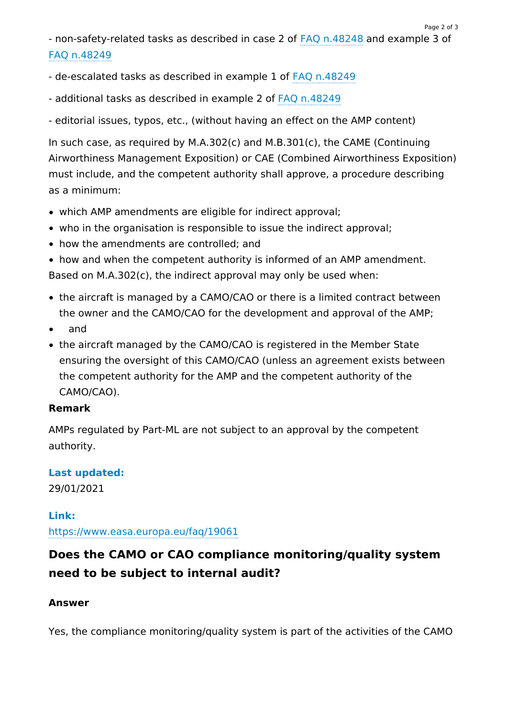- non-safety-related tasks as described in case 2 of FAQ [n.48248](https://www.easa.europa.eu/faq/48248) and example 3 of FAQ [n.48249](https://www.easa.europa.eu/faq/48249)

- de-escalated tasks as described in example 1 of FAQ [n.48249](https://www.easa.europa.eu/faq/48249)
- additional tasks as described in example 2 of FAQ [n.48249](https://www.easa.europa.eu/faq/48249)

- editorial issues, typos, etc., (without having an effect on the AMP content)

In such case, as required by M.A.302(c) and M.B.301(c), the CAME (Continuing Airworthiness Management Exposition) or CAE (Combined Airworthiness Exposition) must include, and the competent authority shall approve, a procedure describing as a minimum:

- which AMP amendments are eligible for indirect approval;
- who in the organisation is responsible to issue the indirect approval;
- how the amendments are controlled; and
- how and when the competent authority is informed of an AMP amendment. Based on M.A.302(c), the indirect approval may only be used when:
- the aircraft is managed by a CAMO/CAO or there is a limited contract between the owner and the CAMO/CAO for the development and approval of the AMP;
- $\bullet$ and
- the aircraft managed by the CAMO/CAO is registered in the Member State ensuring the oversight of this CAMO/CAO (unless an agreement exists between the competent authority for the AMP and the competent authority of the CAMO/CAO).

#### **Remark**

AMPs regulated by Part-ML are not subject to an approval by the competent authority.

# **Last updated:**

29/01/2021

**Link:** <https://www.easa.europa.eu/faq/19061>

# **Does the CAMO or CAO compliance monitoring/quality system need to be subject to internal audit?**

#### **Answer**

Yes, the compliance monitoring/quality system is part of the activities of the CAMO